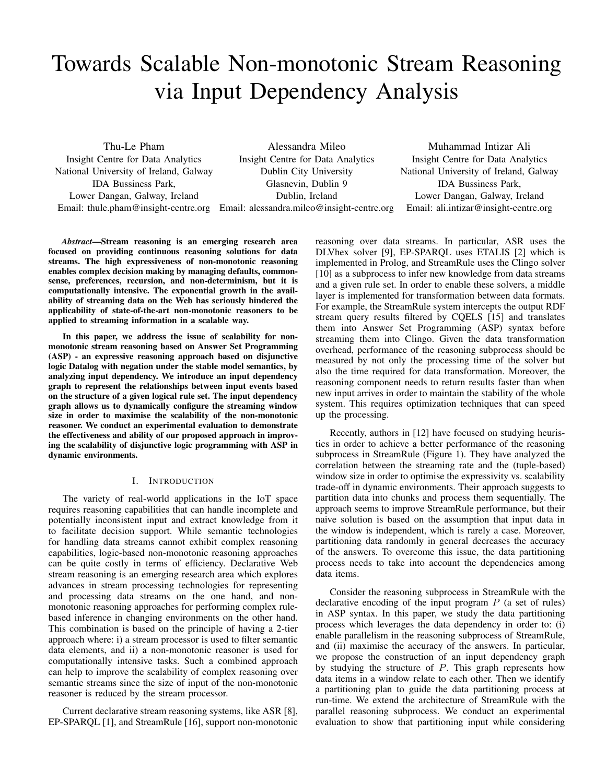# Towards Scalable Non-monotonic Stream Reasoning via Input Dependency Analysis

Thu-Le Pham Insight Centre for Data Analytics National University of Ireland, Galway IDA Bussiness Park, Lower Dangan, Galway, Ireland

Email: thule.pham@insight-centre.org Email: alessandra.mileo@insight-centre.org Alessandra Mileo Insight Centre for Data Analytics Dublin City University Glasnevin, Dublin 9 Dublin, Ireland

Muhammad Intizar Ali Insight Centre for Data Analytics National University of Ireland, Galway IDA Bussiness Park, Lower Dangan, Galway, Ireland Email: ali.intizar@insight-centre.org

*Abstract*—Stream reasoning is an emerging research area focused on providing continuous reasoning solutions for data streams. The high expressiveness of non-monotonic reasoning enables complex decision making by managing defaults, commonsense, preferences, recursion, and non-determinism, but it is computationally intensive. The exponential growth in the availability of streaming data on the Web has seriously hindered the applicability of state-of-the-art non-monotonic reasoners to be applied to streaming information in a scalable way.

In this paper, we address the issue of scalability for nonmonotonic stream reasoning based on Answer Set Programming (ASP) - an expressive reasoning approach based on disjunctive logic Datalog with negation under the stable model semantics, by analyzing input dependency. We introduce an input dependency graph to represent the relationships between input events based on the structure of a given logical rule set. The input dependency graph allows us to dynamically configure the streaming window size in order to maximise the scalability of the non-monotonic reasoner. We conduct an experimental evaluation to demonstrate the effectiveness and ability of our proposed approach in improving the scalability of disjunctive logic programming with ASP in dynamic environments.

### I. INTRODUCTION

The variety of real-world applications in the IoT space requires reasoning capabilities that can handle incomplete and potentially inconsistent input and extract knowledge from it to facilitate decision support. While semantic technologies for handling data streams cannot exhibit complex reasoning capabilities, logic-based non-monotonic reasoning approaches can be quite costly in terms of efficiency. Declarative Web stream reasoning is an emerging research area which explores advances in stream processing technologies for representing and processing data streams on the one hand, and nonmonotonic reasoning approaches for performing complex rulebased inference in changing environments on the other hand. This combination is based on the principle of having a 2-tier approach where: i) a stream processor is used to filter semantic data elements, and ii) a non-monotonic reasoner is used for computationally intensive tasks. Such a combined approach can help to improve the scalability of complex reasoning over semantic streams since the size of input of the non-monotonic reasoner is reduced by the stream processor.

Current declarative stream reasoning systems, like ASR [8], EP-SPARQL [1], and StreamRule [16], support non-monotonic reasoning over data streams. In particular, ASR uses the DLVhex solver [9], EP-SPARQL uses ETALIS [2] which is implemented in Prolog, and StreamRule uses the Clingo solver [10] as a subprocess to infer new knowledge from data streams and a given rule set. In order to enable these solvers, a middle layer is implemented for transformation between data formats. For example, the StreamRule system intercepts the output RDF stream query results filtered by CQELS [15] and translates them into Answer Set Programming (ASP) syntax before streaming them into Clingo. Given the data transformation overhead, performance of the reasoning subprocess should be measured by not only the processing time of the solver but also the time required for data transformation. Moreover, the reasoning component needs to return results faster than when new input arrives in order to maintain the stability of the whole system. This requires optimization techniques that can speed up the processing.

Recently, authors in [12] have focused on studying heuristics in order to achieve a better performance of the reasoning subprocess in StreamRule (Figure 1). They have analyzed the correlation between the streaming rate and the (tuple-based) window size in order to optimise the expressivity vs. scalability trade-off in dynamic environments. Their approach suggests to partition data into chunks and process them sequentially. The approach seems to improve StreamRule performance, but their naive solution is based on the assumption that input data in the window is independent, which is rarely a case. Moreover, partitioning data randomly in general decreases the accuracy of the answers. To overcome this issue, the data partitioning process needs to take into account the dependencies among data items.

Consider the reasoning subprocess in StreamRule with the declarative encoding of the input program  $P$  (a set of rules) in ASP syntax. In this paper, we study the data partitioning process which leverages the data dependency in order to: (i) enable parallelism in the reasoning subprocess of StreamRule, and (ii) maximise the accuracy of the answers. In particular, we propose the construction of an input dependency graph by studying the structure of P. This graph represents how data items in a window relate to each other. Then we identify a partitioning plan to guide the data partitioning process at run-time. We extend the architecture of StreamRule with the parallel reasoning subprocess. We conduct an experimental evaluation to show that partitioning input while considering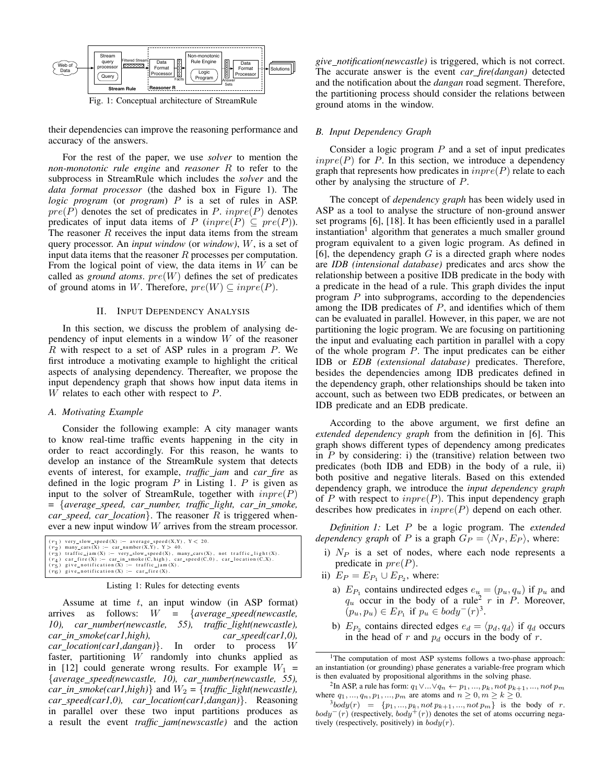

Fig. 1: Conceptual architecture of StreamRule

their dependencies can improve the reasoning performance and accuracy of the answers.

For the rest of the paper, we use *solver* to mention the *non-monotonic rule engine* and *reasoner* R to refer to the subprocess in StreamRule which includes the *solver* and the *data format processor* (the dashed box in Figure 1). The *logic program* (or *program*) P is a set of rules in ASP.  $pre(P)$  denotes the set of predicates in P. inpre $(P)$  denotes predicates of input data items of P (inpre(P)  $\subseteq$  pre(P)). The reasoner  $R$  receives the input data items from the stream query processor. An *input window* (or *window)*, W, is a set of input data items that the reasoner  $R$  processes per computation. From the logical point of view, the data items in  $W$  can be called as *ground atoms.*  $pre(W)$  defines the set of predicates of ground atoms in W. Therefore,  $pre(W) \subseteq inpre(P)$ .

### II. INPUT DEPENDENCY ANALYSIS

In this section, we discuss the problem of analysing dependency of input elements in a window  $W$  of the reasoner R with respect to a set of ASP rules in a program P. We first introduce a motivating example to highlight the critical aspects of analysing dependency. Thereafter, we propose the input dependency graph that shows how input data items in W relates to each other with respect to  $P$ .

#### *A. Motivating Example*

Consider the following example: A city manager wants to know real-time traffic events happening in the city in order to react accordingly. For this reason, he wants to develop an instance of the StreamRule system that detects events of interest, for example, *traffic jam* and *car fire* as defined in the logic program  $P$  in Listing 1.  $P$  is given as input to the solver of StreamRule, together with  $inpre(P)$ = {*average speed, car number, traffic light, car in smoke,*  $car\_speed$ ,  $car\_location$  }. The reasoner  $R$  is triggered whenever a new input window W arrives from the stream processor.

|  | $(r_1)$ very_slow_speed(X) : - average_speed(X,Y), Y < 20. |  |
|--|------------------------------------------------------------|--|
|  |                                                            |  |

```
(r_1) very_slow_speed(X) :- average_speed(X,Y), Y < 20.<br>(r_2) many_cars(X) :- ear_number(X,Y), Y > 40.<br>(r_3) traffic_jam(X) :- very_slow_speed(X), many_cars(X), not traffic_light(X).<br>(r_4) car_fire(X) :- car_in_sm
```
## Listing 1: Rules for detecting events

Assume at time  $t$ , an input window (in ASP format) arrives as follows: W = {*average speed(newcastle, 10), car number(newcastle, 55), traffic light(newcastle), car in smoke(car1,high), car speed(car1,0), car location(car1,dangan)*}. In order to process W faster, partitioning W randomly into chunks applied as in [12] could generate wrong results. For example  $W_1$  = {*average speed(newcastle, 10), car number(newcastle, 55), car\_in\_smoke(car1,high)*} and  $W_2 = \{tra\$ fic\_light(newcastle), *car speed(car1,0), car location(car1,dangan)*}. Reasoning in parallel over these two input partitions produces as a result the event *traffic jam(newscastle)* and the action *give notification(newcastle)* is triggered, which is not correct. The accurate answer is the event *car fire(dangan)* detected and the notification about the *dangan* road segment. Therefore, the partitioning process should consider the relations between ground atoms in the window.

#### *B. Input Dependency Graph*

Consider a logic program  $P$  and a set of input predicates  $inpre(P)$  for P. In this section, we introduce a dependency graph that represents how predicates in  $inpre(P)$  relate to each other by analysing the structure of P.

The concept of *dependency graph* has been widely used in ASP as a tool to analyse the structure of non-ground answer set programs [6], [18]. It has been efficiently used in a parallel instantiation<sup>1</sup> algorithm that generates a much smaller ground program equivalent to a given logic program. As defined in [6], the dependency graph  $G$  is a directed graph where nodes are *IDB (intensional database)* predicates and arcs show the relationship between a positive IDB predicate in the body with a predicate in the head of a rule. This graph divides the input program  $P$  into subprograms, according to the dependencies among the IDB predicates of  $P$ , and identifies which of them can be evaluated in parallel. However, in this paper, we are not partitioning the logic program. We are focusing on partitioning the input and evaluating each partition in parallel with a copy of the whole program P. The input predicates can be either IDB or *EDB (extensional database)* predicates. Therefore, besides the dependencies among IDB predicates defined in the dependency graph, other relationships should be taken into account, such as between two EDB predicates, or between an IDB predicate and an EDB predicate.

According to the above argument, we first define an *extended dependency graph* from the definition in [6]. This graph shows different types of dependency among predicates in  $P$  by considering: i) the (transitive) relation between two predicates (both IDB and EDB) in the body of a rule, ii) both positive and negative literals. Based on this extended dependency graph, we introduce the *input dependency graph* of P with respect to  $inpre(P)$ . This input dependency graph describes how predicates in  $inpre(P)$  depend on each other.

*Definition 1:* Let P be a logic program. The *extended dependency graph* of P is a graph  $G_P = \langle N_P, E_P \rangle$ , where:

- i)  $N_P$  is a set of nodes, where each node represents a predicate in  $pre(P)$ .
- ii)  $E_P = E_{P_1} \cup E_{P_2}$ , where:
	- a)  $E_{P_1}$  contains undirected edges  $e_u = (p_u, q_u)$  if  $p_u$  and  $q_u$  occur in the body of a rule<sup>2</sup> r in P. Moreover,  $(p_u, p_u) \in E_{P_1}$  if  $p_u \in body^-(r)^3$ .
	- b)  $E_{P_2}$  contains directed edges  $e_d = \langle p_d, q_d \rangle$  if  $q_d$  occurs in the head of r and  $p_d$  occurs in the body of r.

<sup>&</sup>lt;sup>1</sup>The computation of most ASP systems follows a two-phase approach: an instantiation (or grounding) phase generates a variable-free program which is then evaluated by propositional algorithms in the solving phase.

<sup>&</sup>lt;sup>2</sup>In ASP, a rule has form:  $q_1 \lor ... \lor q_n \leftarrow p_1, ..., p_k, not \ p_{k+1}, ..., not \ p_m$ where  $q_1, ..., q_n, p_1, ..., p_m$  are atoms and  $n \ge 0, m \ge k \ge 0$ .

 ${}^{3}body(r) = \{p_1, ..., p_k, not p_{k+1}, ..., not p_m\}$  is the body of r.<br>body<sup>-</sup>(r) (respectively,  $body^+(r)$ ) denotes the set of atoms occurring negatively (respectively, positively) in  $body(r)$ .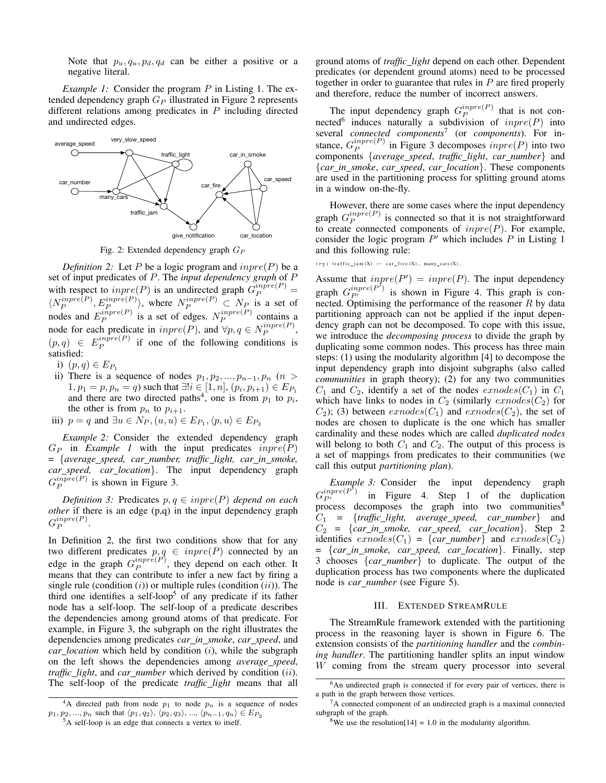Note that  $p_u, q_u, p_d, q_d$  can be either a positive or a negative literal.

*Example 1:* Consider the program P in Listing 1. The extended dependency graph  $G_P$  illustrated in Figure 2 represents different relations among predicates in  $P$  including directed and undirected edges.



Fig. 2: Extended dependency graph  $G_P$ 

*Definition 2:* Let P be a logic program and  $inpre(P)$  be a set of input predicates of P. The *input dependency graph* of P with respect to *inpre*(*P*) is an undirected graph  $G_P^{inpre(P)}$  =  $\langle N_P^{inpre(P)} \rangle$  $N_P^{inpre(P)}, E_P^{inpre(P)}\rangle$ , where  $N_P^{inpre(P)} \subset N_P$  is a set of nodes and  $E_P^{inpre(P)}$  $i^{inpre(P)}$  is a set of edges.  $N_P^{inpre(P)}$  $P^{upper}(F)$  contains a node for each predicate in  $\text{inpre}(P)$ , and  $\forall p, q \in N_p^{\text{inpre}(P)}$  $P^{upper(F)}$  $(p, q) \in E_P^{inpre(P)}$  $P^{upper(P)}$  if one of the following conditions is satisfied:

i)  $(p, q) \in E_{P_1}$ 

ii) There is a sequence of nodes  $p_1, p_2, ..., p_{n-1}, p_n$  (n >  $1, p_1 = p, p_n = q$ ) such that  $\exists ! i \in [1, n], (p_i, p_{i+1}) \in E_{P_1}$ and there are two directed paths<sup>4</sup>, one is from  $p_1$  to  $p_i$ , the other is from  $p_n$  to  $p_{i+1}$ .

iii)  $p = q$  and  $\exists u \in N_P$ ,  $(u, u) \in E_{P_1}$ ,  $\langle p, u \rangle \in E_{P_2}$ 

*Example 2:* Consider the extended dependency graph  $G_P$  in *Example 1* with the input predicates  $inpre(P)$ = {*average speed, car number, traffic light, car in smoke, car speed, car location*}. The input dependency graph  $G_P^{inpre(P)}$  ${}_{P}^{upper(F)}$  is shown in Figure 3.

*Definition 3:* Predicates  $p, q \in inpre(P)$  *depend on each other* if there is an edge (p,q) in the input dependency graph  $G_P^{inpre(P)}$  $P^{\text{mpref}}$ .

In Definition 2, the first two conditions show that for any two different predicates  $p, q \in inpre(P)$  connected by an edge in the graph  $G_P^{inpre(P)}$  $P^{upper(F)}$ , they depend on each other. It means that they can contribute to infer a new fact by firing a single rule (condition  $(i)$ ) or multiple rules (condition  $(ii)$ ). The third one identifies a self-loop<sup>5</sup> of any predicate if its father node has a self-loop. The self-loop of a predicate describes the dependencies among ground atoms of that predicate. For example, in Figure 3, the subgraph on the right illustrates the dependencies among predicates *car in smoke*, *car speed*, and *car location* which held by condition (i), while the subgraph on the left shows the dependencies among *average speed*, *traffic light*, and *car number* which derived by condition (ii). The self-loop of the predicate *traffic light* means that all

ground atoms of *traffic light* depend on each other. Dependent predicates (or dependent ground atoms) need to be processed together in order to guarantee that rules in P are fired properly and therefore, reduce the number of incorrect answers.

The input dependency graph  $G_P^{inpre(P)}$  $P^{upper(F)}$  that is not connected<sup>6</sup> induces naturally a subdivision of  $inpre(P)$  into several *connected components*<sup>7</sup> (or *components*). For instance,  $G_P^{inpre(P)}$  $\Pr_P^{upper(P)}$  in Figure 3 decomposes  $inpre(P)$  into two components {*average speed*, *traffic light*, *car number*} and {*car in smoke*, *car speed*, *car location*}. These components are used in the partitioning process for splitting ground atoms in a window on-the-fly.

However, there are some cases where the input dependency graph  $G_P^{inpre(P)}$  $\sum_{P}^{n_{i}}$  is connected so that it is not straightforward to create connected components of  $inpre(P)$ . For example, consider the logic program  $P'$  which includes  $P$  in Listing 1 and this following rule:

 $(r<sub>7</sub>)$  traffic\_jam(X) : car\_fire(X), many\_cars(X).

Assume that  $inpre(P') = inpre(P)$ . The input dependency graph  $G_{P'}^{inpre(P')}$  is shown in Figure 4. This graph is connected. Optimising the performance of the reasoner  $\overline{R}$  by data partitioning approach can not be applied if the input dependency graph can not be decomposed. To cope with this issue, we introduce the *decomposing process* to divide the graph by duplicating some common nodes. This process has three main steps: (1) using the modularity algorithm [4] to decompose the input dependency graph into disjoint subgraphs (also called *communities* in graph theory); (2) for any two communities  $C_1$  and  $C_2$ , identify a set of the nodes  $\operatorname{exnodes}(C_1)$  in  $C_1$ which have links to nodes in  $C_2$  (similarly  $\mathit{exnodes}(C_2)$ ) for  $C_2$ ); (3) between  $\mathit{exnodes}(C_1)$  and  $\mathit{exnodes}(C_2)$ , the set of nodes are chosen to duplicate is the one which has smaller cardinality and these nodes which are called *duplicated nodes* will belong to both  $C_1$  and  $C_2$ . The output of this process is a set of mappings from predicates to their communities (we call this output *partitioning plan*).

*Example 3:* Consider the input dependency graph  $G_{P'}^{inpre(P')}$  in Figure 4. Step 1 of the duplication process decomposes the graph into two communities<sup>8</sup>  $C_1$  = {*traffic\_light, average\_speed, car\_number*} and  $C_2$  = {*car\_in\_smoke, car\_speed, car\_location*}. Step 2 identifies  $\text{exnodes}(C_1) = \{ \text{car_number} \}$  and  $\text{exnodes}(C_2)$ = {*car in smoke, car speed, car location*}. Finally, step 3 chooses {*car number*} to duplicate. The output of the duplication process has two components where the duplicated node is *car number* (see Figure 5).

#### III. EXTENDED STREAMRULE

The StreamRule framework extended with the partitioning process in the reasoning layer is shown in Figure 6. The extension consists of the *partitioning handler* and the *combining handler*. The partitioning handler splits an input window W coming from the stream query processor into several

 $4A$  directed path from node  $p_1$  to node  $p_n$  is a sequence of nodes  $p_1, p_2, ..., p_n$  such that  $\langle p_1, q_2 \rangle$ ,  $\langle p_2, q_3 \rangle$ , ...,  $\langle p_{n-1}, q_n \rangle \in E_{P_2}$ 

<sup>5</sup>A self-loop is an edge that connects a vertex to itself.

<sup>&</sup>lt;sup>6</sup>An undirected graph is connected if for every pair of vertices, there is a path in the graph between those vertices.

 ${}^{7}$ A connected component of an undirected graph is a maximal connected subgraph of the graph.

<sup>&</sup>lt;sup>8</sup>We use the resolution[14] = 1.0 in the modularity algorithm.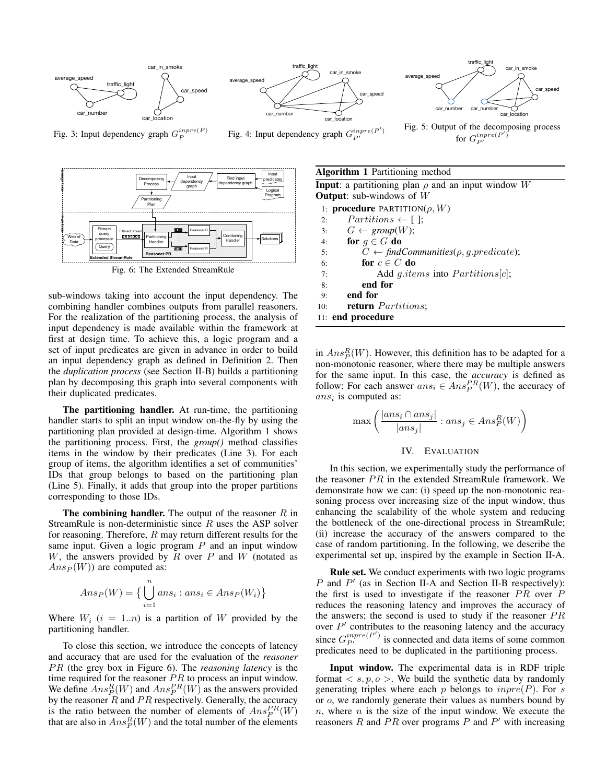

Fig. 3: Input dependency graph  $G_P^{inpre(P)}$ 

Design time

Run time



Fig. 6: The Extended StreamRule

sub-windows taking into account the input dependency. The combining handler combines outputs from parallel reasoners. For the realization of the partitioning process, the analysis of input dependency is made available within the framework at first at design time. To achieve this, a logic program and a set of input predicates are given in advance in order to build an input dependency graph as defined in Definition 2. Then the *duplication process* (see Section II-B) builds a partitioning plan by decomposing this graph into several components with their duplicated predicates.

The partitioning handler. At run-time, the partitioning handler starts to split an input window on-the-fly by using the partitioning plan provided at design-time. Algorithm 1 shows the partitioning process. First, the *group()* method classifies items in the window by their predicates (Line 3). For each group of items, the algorithm identifies a set of communities' IDs that group belongs to based on the partitioning plan (Line 5). Finally, it adds that group into the proper partitions corresponding to those IDs.

The combining handler. The output of the reasoner  $R$  in StreamRule is non-deterministic since  $R$  uses the ASP solver for reasoning. Therefore,  $R$  may return different results for the same input. Given a logic program  $P$  and an input window  $W$ , the answers provided by  $R$  over  $P$  and  $W$  (notated as  $Ans<sub>P</sub>(W)$  are computed as:

$$
Ans_P(W) = \left\{ \bigcup_{i=1}^n ans_i : ans_i \in Ans_P(W_i) \right\}
$$

Where  $W_i$   $(i = 1..n)$  is a partition of W provided by the partitioning handler.

To close this section, we introduce the concepts of latency and accuracy that are used for the evaluation of the *reasoner PR* (the grey box in Figure 6). The *reasoning latency* is the time required for the reasoner  $PR$  to process an input window. We define  $Ans_P^R(W)$  and  $Ans_P^{PR}(W)$  as the answers provided by the reasoner  $R$  and  $PR$  respectively. Generally, the accuracy is the ratio between the number of elements of  $Ans_P^{PR}(W)$ that are also in  $Ans_P^R(W)$  and the total number of the elements

| <b>Algorithm 1</b> Partitioning method                                                               |  |  |  |
|------------------------------------------------------------------------------------------------------|--|--|--|
| <b>Input</b> : a partitioning plan $\rho$ and an input window W<br><b>Output:</b> sub-windows of $W$ |  |  |  |
| 1: <b>procedure</b> PARTITION( $\rho$ , W)                                                           |  |  |  |
| <i>Partitions</i> $\leftarrow$ [ ];<br>2:                                                            |  |  |  |
| $G \leftarrow \text{group}(W);$<br>3:                                                                |  |  |  |
| for $g \in G$ do<br>4:                                                                               |  |  |  |
| $C \leftarrow \textit{findCommunities}(\rho, q.\textit{predicate});$<br>5:                           |  |  |  |
| for $c \in C$ do<br>6:                                                                               |  |  |  |
| Add g.items into $Partitions c $ ;<br>7:                                                             |  |  |  |
| end for<br>8:                                                                                        |  |  |  |
| end for<br>9:                                                                                        |  |  |  |
| <b>return</b> <i>Partitions</i> ;<br>10:                                                             |  |  |  |
| 11: end procedure                                                                                    |  |  |  |

in  $Ans<sub>P</sub><sup>R</sup>(W)$ . However, this definition has to be adapted for a non-monotonic reasoner, where there may be multiple answers for the same input. In this case, the *accuracy* is defined as follow: For each answer  $ans_i \in Ans_P^{PR}(W)$ , the accuracy of  $ans<sub>i</sub>$  is computed as:

$$
\max\left(\frac{|ans_i \cap ans_j|}{|ans_j|} : ans_j \in Ans_P^R(W)\right)
$$

#### IV. EVALUATION

In this section, we experimentally study the performance of the reasoner  $PR$  in the extended StreamRule framework. We demonstrate how we can: (i) speed up the non-monotonic reasoning process over increasing size of the input window, thus enhancing the scalability of the whole system and reducing the bottleneck of the one-directional process in StreamRule; (ii) increase the accuracy of the answers compared to the case of random partitioning. In the following, we describe the experimental set up, inspired by the example in Section II-A.

Rule set. We conduct experiments with two logic programs  $P$  and  $P'$  (as in Section II-A and Section II-B respectively): the first is used to investigate if the reasoner  $PR$  over  $P$ reduces the reasoning latency and improves the accuracy of the answers; the second is used to study if the reasoner  $PR$ over  $P'$  contributes to the reasoning latency and the accuracy since  $G_{P'}^{inpre(P')}$  is connected and data items of some common predicates need to be duplicated in the partitioning process.

Input window. The experimental data is in RDF triple format  $\langle s, p, o \rangle$ . We build the synthetic data by randomly generating triples where each  $p$  belongs to  $inpre(P)$ . For  $s$ or o, we randomly generate their values as numbers bound by  $n$ , where  $n$  is the size of the input window. We execute the reasoners R and PR over programs P and  $P'$  with increasing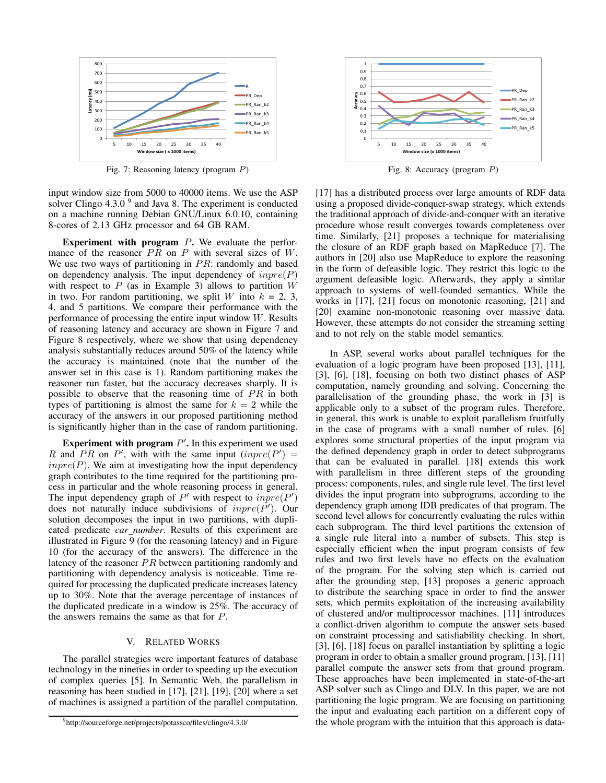

Fig. 7: Reasoning latency (program P)

input window size from 5000 to 40000 items. We use the ASP solver Clingo  $4.3.0<sup>9</sup>$  and Java 8. The experiment is conducted on a machine running Debian GNU/Linux 6.0.10, containing 8-cores of 2.13 GHz processor and 64 GB RAM.

Experiment with program P. We evaluate the performance of the reasoner  $PR$  on  $P$  with several sizes of  $W$ . We use two ways of partitioning in  $PR$ : randomly and based on dependency analysis. The input dependency of  $inpre(P)$ with respect to  $P$  (as in Example 3) allows to partition  $W$ in two. For random partitioning, we split  $W$  into  $k = 2, 3$ , 4, and 5 partitions. We compare their performance with the performance of processing the entire input window W. Results of reasoning latency and accuracy are shown in Figure 7 and Figure 8 respectively, where we show that using dependency analysis substantially reduces around 50% of the latency while the accuracy is maintained (note that the number of the answer set in this case is 1). Random partitioning makes the reasoner run faster, but the accuracy decreases sharply. It is possible to observe that the reasoning time of  $PR$  in both types of partitioning is almost the same for  $k = 2$  while the accuracy of the answers in our proposed partitioning method is significantly higher than in the case of random partitioning.

**Experiment with program**  $P'$ . In this experiment we used R and PR on P', with with the same input  $(inpre(P')) =$  $inpre(P)$ . We aim at investigating how the input dependency graph contributes to the time required for the partitioning process in particular and the whole reasoning process in general. The input dependency graph of  $P'$  with respect to  $inpre(P')$ does not naturally induce subdivisions of  $inpre(P')$ . Our solution decomposes the input in two partitions, with duplicated predicate *car number*. Results of this experiment are illustrated in Figure 9 (for the reasoning latency) and in Figure 10 (for the accuracy of the answers). The difference in the latency of the reasoner  $PR$  between partitioning randomly and partitioning with dependency analysis is noticeable. Time required for processing the duplicated predicate increases latency up to 30%. Note that the average percentage of instances of the duplicated predicate in a window is 25%. The accuracy of the answers remains the same as that for P.

#### V. RELATED WORKS

The parallel strategies were important features of database technology in the nineties in order to speeding up the execution of complex queries [5]. In Semantic Web, the parallelism in reasoning has been studied in [17], [21], [19], [20] where a set of machines is assigned a partition of the parallel computation.



Fig. 8: Accuracy (program P)

[17] has a distributed process over large amounts of RDF data using a proposed divide-conquer-swap strategy, which extends the traditional approach of divide-and-conquer with an iterative procedure whose result converges towards completeness over time. Similarly, [21] proposes a technique for materialising the closure of an RDF graph based on MapReduce [7]. The authors in [20] also use MapReduce to explore the reasoning in the form of defeasible logic. They restrict this logic to the argument defeasible logic. Afterwards, they apply a similar approach to systems of well-founded semantics. While the works in [17], [21] focus on monotonic reasoning, [21] and [20] examine non-monotonic reasoning over massive data. However, these attempts do not consider the streaming setting and to not rely on the stable model semantics.

In ASP, several works about parallel techniques for the evaluation of a logic program have been proposed [13], [11], [3], [6], [18], focusing on both two distinct phases of ASP computation, namely grounding and solving. Concerning the parallelisation of the grounding phase, the work in [3] is applicable only to a subset of the program rules. Therefore, in general, this work is unable to exploit parallelism fruitfully in the case of programs with a small number of rules. [6] explores some structural properties of the input program via the defined dependency graph in order to detect subprograms that can be evaluated in parallel. [18] extends this work with parallelism in three different steps of the grounding process: components, rules, and single rule level. The first level divides the input program into subprograms, according to the dependency graph among IDB predicates of that program. The second level allows for concurrently evaluating the rules within each subprogram. The third level partitions the extension of a single rule literal into a number of subsets. This step is especially efficient when the input program consists of few rules and two first levels have no effects on the evaluation of the program. For the solving step which is carried out after the grounding step, [13] proposes a generic approach to distribute the searching space in order to find the answer sets, which permits exploitation of the increasing availability of clustered and/or multiprocessor machines. [11] introduces a conflict-driven algorithm to compute the answer sets based on constraint processing and satisfiability checking. In short, [3], [6], [18] focus on parallel instantiation by splitting a logic program in order to obtain a smaller ground program, [13], [11] parallel compute the answer sets from that ground program. These approaches have been implemented in state-of-the-art ASP solver such as Clingo and DLV. In this paper, we are not partitioning the logic program. We are focusing on partitioning the input and evaluating each partition on a different copy of the whole program with the intuition that this approach is data-

<sup>9</sup>http://sourceforge.net/projects/potassco/files/clingo/4.3.0/